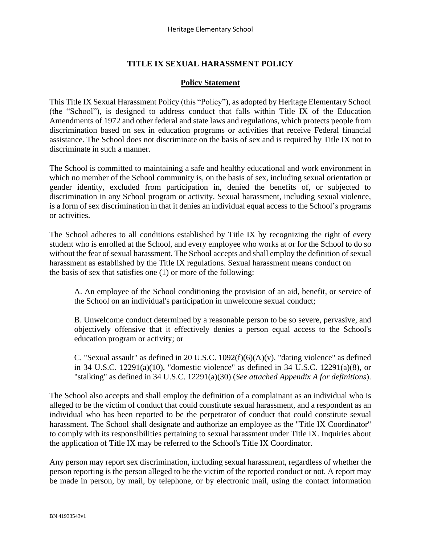# **TITLE IX SEXUAL HARASSMENT POLICY**

#### **Policy Statement**

This Title IX Sexual Harassment Policy (this "Policy"), as adopted by Heritage Elementary School (the "School"), is designed to address conduct that falls within Title IX of the Education Amendments of 1972 and other federal and state laws and regulations, which protects people from discrimination based on sex in education programs or activities that receive Federal financial assistance. The School does not discriminate on the basis of sex and is required by Title IX not to discriminate in such a manner.

The School is committed to maintaining a safe and healthy educational and work environment in which no member of the School community is, on the basis of sex, including sexual orientation or gender identity, excluded from participation in, denied the benefits of, or subjected to discrimination in any School program or activity. Sexual harassment, including sexual violence, is a form of sex discrimination in that it denies an individual equal access to the School's programs or activities.

The School adheres to all conditions established by Title IX by recognizing the right of every student who is enrolled at the School, and every employee who works at or for the School to do so without the fear of sexual harassment. The School accepts and shall employ the definition of sexual harassment as established by the Title IX regulations. Sexual harassment means conduct on the basis of sex that satisfies one (1) or more of the following:

A. An employee of the School conditioning the provision of an aid, benefit, or service of the School on an individual's participation in unwelcome sexual conduct;

B. Unwelcome conduct determined by a reasonable person to be so severe, pervasive, and objectively offensive that it effectively denies a person equal access to the School's education program or activity; or

C. "Sexual assault" as defined in 20 U.S.C.  $1092(f)(6)(A)(v)$ , "dating violence" as defined in 34 U.S.C. 12291(a)(10), "domestic violence" as defined in 34 U.S.C. 12291(a)(8), or "stalking" as defined in 34 U.S.C. 12291(a)(30) (*See attached Appendix A for definitions*).

The School also accepts and shall employ the definition of a complainant as an individual who is alleged to be the victim of conduct that could constitute sexual harassment, and a respondent as an individual who has been reported to be the perpetrator of conduct that could constitute sexual harassment. The School shall designate and authorize an employee as the "Title IX Coordinator" to comply with its responsibilities pertaining to sexual harassment under Title IX. Inquiries about the application of Title IX may be referred to the School's Title IX Coordinator.

Any person may report sex discrimination, including sexual harassment, regardless of whether the person reporting is the person alleged to be the victim of the reported conduct or not. A report may be made in person, by mail, by telephone, or by electronic mail, using the contact information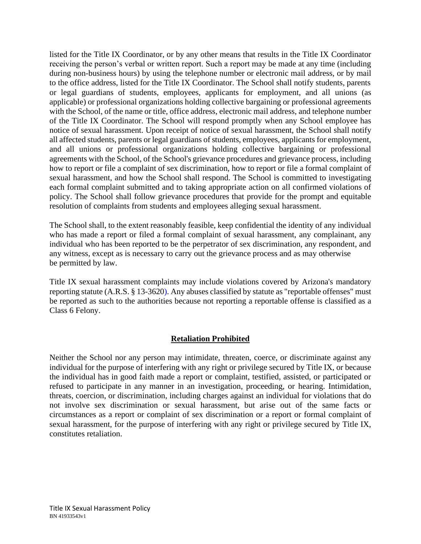listed for the Title IX Coordinator, or by any other means that results in the Title IX Coordinator receiving the person's verbal or written report. Such a report may be made at any time (including during non-business hours) by using the telephone number or electronic mail address, or by mail to the office address, listed for the Title IX Coordinator. The School shall notify students, parents or legal guardians of students, employees, applicants for employment, and all unions (as applicable) or professional organizations holding collective bargaining or professional agreements with the School, of the name or title, office address, electronic mail address, and telephone number of the Title IX Coordinator. The School will respond promptly when any School employee has notice of sexual harassment. Upon receipt of notice of sexual harassment, the School shall notify all affected students, parents or legal guardians of students, employees, applicants for employment, and all unions or professional organizations holding collective bargaining or professional agreements with the School, of the School's grievance procedures and grievance process, including how to report or file a complaint of sex discrimination, how to report or file a formal complaint of sexual harassment, and how the School shall respond. The School is committed to investigating each formal complaint submitted and to taking appropriate action on all confirmed violations of policy. The School shall follow grievance procedures that provide for the prompt and equitable resolution of complaints from students and employees alleging sexual harassment.

The School shall, to the extent reasonably feasible, keep confidential the identity of any individual who has made a report or filed a formal complaint of sexual harassment, any complainant, any individual who has been reported to be the perpetrator of sex discrimination, any respondent, and any witness, except as is necessary to carry out the grievance process and as may otherwise be permitted by law.

Title IX sexual harassment complaints may include violations covered by Arizona's mandatory reporting statute (A.R.S. § 13-3620). Any abuses classified by statute as "reportable offenses" must be reported as such to the authorities because not reporting a reportable offense is classified as a Class 6 Felony.

## **Retaliation Prohibited**

Neither the School nor any person may intimidate, threaten, coerce, or discriminate against any individual for the purpose of interfering with any right or privilege secured by Title IX, or because the individual has in good faith made a report or complaint, testified, assisted, or participated or refused to participate in any manner in an investigation, proceeding, or hearing. Intimidation, threats, coercion, or discrimination, including charges against an individual for violations that do not involve sex discrimination or sexual harassment, but arise out of the same facts or circumstances as a report or complaint of sex discrimination or a report or formal complaint of sexual harassment, for the purpose of interfering with any right or privilege secured by Title IX, constitutes retaliation.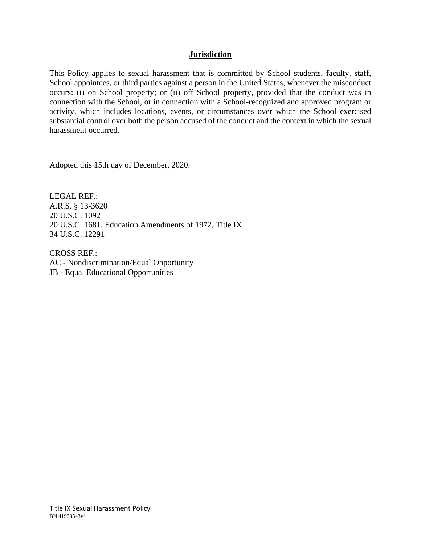## **Jurisdiction**

This Policy applies to sexual harassment that is committed by School students, faculty, staff, School appointees, or third parties against a person in the United States, whenever the misconduct occurs: (i) on School property; or (ii) off School property, provided that the conduct was in connection with the School, or in connection with a School-recognized and approved program or activity, which includes locations, events, or circumstances over which the School exercised substantial control over both the person accused of the conduct and the context in which the sexual harassment occurred.

Adopted this 15th day of December, 2020.

LEGAL REF.: A.R.S. § 13-3620 20 U.S.C. 1092 20 U.S.C. 1681, Education Amendments of 1972, Title IX 34 U.S.C. 12291

CROSS REF.: AC - Nondiscrimination/Equal Opportunity JB - Equal Educational Opportunities